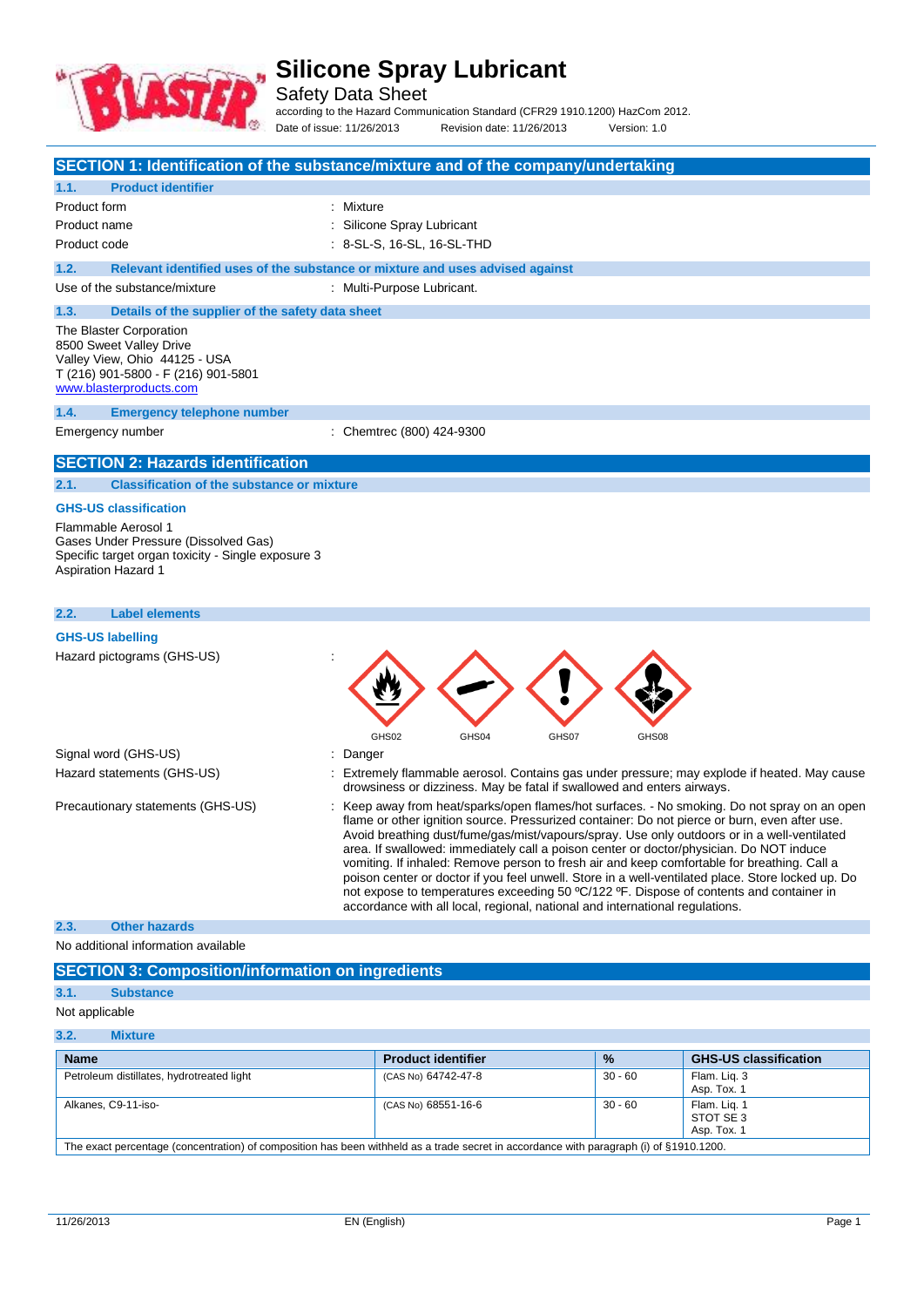

# **Silicone Spray Lubricant**

Safety Data Sheet

according to the Hazard Communication Standard (CFR29 1910.1200) HazCom 2012. Date of issue: 11/26/2013 Revision date: 11/26/2013 Version: 1.0

|                | SECTION 1: Identification of the substance/mixture and of the company/undertaking                                                                     |           |                            |                                                                              |       |       |                                                                                                                                                                                                                                                                                                                                                                                                                                                                                                                                                                                                                                                                                      |
|----------------|-------------------------------------------------------------------------------------------------------------------------------------------------------|-----------|----------------------------|------------------------------------------------------------------------------|-------|-------|--------------------------------------------------------------------------------------------------------------------------------------------------------------------------------------------------------------------------------------------------------------------------------------------------------------------------------------------------------------------------------------------------------------------------------------------------------------------------------------------------------------------------------------------------------------------------------------------------------------------------------------------------------------------------------------|
| 1.1.           | <b>Product identifier</b>                                                                                                                             |           |                            |                                                                              |       |       |                                                                                                                                                                                                                                                                                                                                                                                                                                                                                                                                                                                                                                                                                      |
| Product form   |                                                                                                                                                       | : Mixture |                            |                                                                              |       |       |                                                                                                                                                                                                                                                                                                                                                                                                                                                                                                                                                                                                                                                                                      |
| Product name   |                                                                                                                                                       |           | Silicone Spray Lubricant   |                                                                              |       |       |                                                                                                                                                                                                                                                                                                                                                                                                                                                                                                                                                                                                                                                                                      |
| Product code   |                                                                                                                                                       |           | : 8-SL-S, 16-SL, 16-SL-THD |                                                                              |       |       |                                                                                                                                                                                                                                                                                                                                                                                                                                                                                                                                                                                                                                                                                      |
| 1.2.           | Relevant identified uses of the substance or mixture and uses advised against                                                                         |           |                            |                                                                              |       |       |                                                                                                                                                                                                                                                                                                                                                                                                                                                                                                                                                                                                                                                                                      |
|                | Use of the substance/mixture                                                                                                                          |           | : Multi-Purpose Lubricant. |                                                                              |       |       |                                                                                                                                                                                                                                                                                                                                                                                                                                                                                                                                                                                                                                                                                      |
| 1.3.           | Details of the supplier of the safety data sheet                                                                                                      |           |                            |                                                                              |       |       |                                                                                                                                                                                                                                                                                                                                                                                                                                                                                                                                                                                                                                                                                      |
|                | The Blaster Corporation<br>8500 Sweet Valley Drive<br>Valley View, Ohio 44125 - USA<br>T (216) 901-5800 - F (216) 901-5801<br>www.blasterproducts.com |           |                            |                                                                              |       |       |                                                                                                                                                                                                                                                                                                                                                                                                                                                                                                                                                                                                                                                                                      |
| 1.4.           | <b>Emergency telephone number</b>                                                                                                                     |           |                            |                                                                              |       |       |                                                                                                                                                                                                                                                                                                                                                                                                                                                                                                                                                                                                                                                                                      |
|                | Emergency number                                                                                                                                      |           | : Chemtrec (800) 424-9300  |                                                                              |       |       |                                                                                                                                                                                                                                                                                                                                                                                                                                                                                                                                                                                                                                                                                      |
|                | <b>SECTION 2: Hazards identification</b>                                                                                                              |           |                            |                                                                              |       |       |                                                                                                                                                                                                                                                                                                                                                                                                                                                                                                                                                                                                                                                                                      |
| 2.1.           | <b>Classification of the substance or mixture</b>                                                                                                     |           |                            |                                                                              |       |       |                                                                                                                                                                                                                                                                                                                                                                                                                                                                                                                                                                                                                                                                                      |
|                | <b>GHS-US classification</b>                                                                                                                          |           |                            |                                                                              |       |       |                                                                                                                                                                                                                                                                                                                                                                                                                                                                                                                                                                                                                                                                                      |
|                | Flammable Aerosol 1<br>Gases Under Pressure (Dissolved Gas)<br>Specific target organ toxicity - Single exposure 3<br><b>Aspiration Hazard 1</b>       |           |                            |                                                                              |       |       |                                                                                                                                                                                                                                                                                                                                                                                                                                                                                                                                                                                                                                                                                      |
| 2.2.           | <b>Label elements</b>                                                                                                                                 |           |                            |                                                                              |       |       |                                                                                                                                                                                                                                                                                                                                                                                                                                                                                                                                                                                                                                                                                      |
|                | <b>GHS-US labelling</b><br>Hazard pictograms (GHS-US)                                                                                                 |           | GHS02                      | GHS04                                                                        | GHS07 | GHS08 |                                                                                                                                                                                                                                                                                                                                                                                                                                                                                                                                                                                                                                                                                      |
|                | Signal word (GHS-US)                                                                                                                                  | Danger    |                            |                                                                              |       |       |                                                                                                                                                                                                                                                                                                                                                                                                                                                                                                                                                                                                                                                                                      |
|                | Hazard statements (GHS-US)                                                                                                                            |           |                            | drowsiness or dizziness. May be fatal if swallowed and enters airways.       |       |       | Extremely flammable aerosol. Contains gas under pressure; may explode if heated. May cause                                                                                                                                                                                                                                                                                                                                                                                                                                                                                                                                                                                           |
|                | Precautionary statements (GHS-US)                                                                                                                     |           |                            | accordance with all local, regional, national and international regulations. |       |       | Keep away from heat/sparks/open flames/hot surfaces. - No smoking. Do not spray on an open<br>flame or other ignition source. Pressurized container: Do not pierce or burn, even after use.<br>Avoid breathing dust/fume/gas/mist/vapours/spray. Use only outdoors or in a well-ventilated<br>area. If swallowed: immediately call a poison center or doctor/physician. Do NOT induce<br>vomiting. If inhaled: Remove person to fresh air and keep comfortable for breathing. Call a<br>poison center or doctor if you feel unwell. Store in a well-ventilated place. Store locked up. Do<br>not expose to temperatures exceeding 50 °C/122 °F. Dispose of contents and container in |
| 2.3.           | <b>Other hazards</b>                                                                                                                                  |           |                            |                                                                              |       |       |                                                                                                                                                                                                                                                                                                                                                                                                                                                                                                                                                                                                                                                                                      |
|                | No additional information available                                                                                                                   |           |                            |                                                                              |       |       |                                                                                                                                                                                                                                                                                                                                                                                                                                                                                                                                                                                                                                                                                      |
|                | <b>SECTION 3: Composition/information on ingredients</b>                                                                                              |           |                            |                                                                              |       |       |                                                                                                                                                                                                                                                                                                                                                                                                                                                                                                                                                                                                                                                                                      |
| 3.1.           | <b>Substance</b>                                                                                                                                      |           |                            |                                                                              |       |       |                                                                                                                                                                                                                                                                                                                                                                                                                                                                                                                                                                                                                                                                                      |
| Not applicable |                                                                                                                                                       |           |                            |                                                                              |       |       |                                                                                                                                                                                                                                                                                                                                                                                                                                                                                                                                                                                                                                                                                      |
| 3.2.           | <b>Mixture</b>                                                                                                                                        |           |                            |                                                                              |       |       |                                                                                                                                                                                                                                                                                                                                                                                                                                                                                                                                                                                                                                                                                      |
| <b>Name</b>    |                                                                                                                                                       |           | <b>Product identifier</b>  |                                                                              |       | $\%$  | <b>GHS-US classification</b>                                                                                                                                                                                                                                                                                                                                                                                                                                                                                                                                                                                                                                                         |

| <b>Name</b>                                                                                                                             | <b>Product identifier</b> | $\frac{9}{6}$ | <b>GHS-US classification</b>             |  |
|-----------------------------------------------------------------------------------------------------------------------------------------|---------------------------|---------------|------------------------------------------|--|
| Petroleum distillates, hydrotreated light                                                                                               | (CAS No) 64742-47-8       | $30 - 60$     | Flam. Lig. 3<br>Asp. Tox. 1              |  |
| Alkanes, C9-11-iso-                                                                                                                     | (CAS No) 68551-16-6       | $30 - 60$     | Flam. Lig. 1<br>STOT SE 3<br>Asp. Tox. 1 |  |
| The exact percentage (concentration) of composition has been withheld as a trade secret in accordance with paragraph (i) of §1910.1200. |                           |               |                                          |  |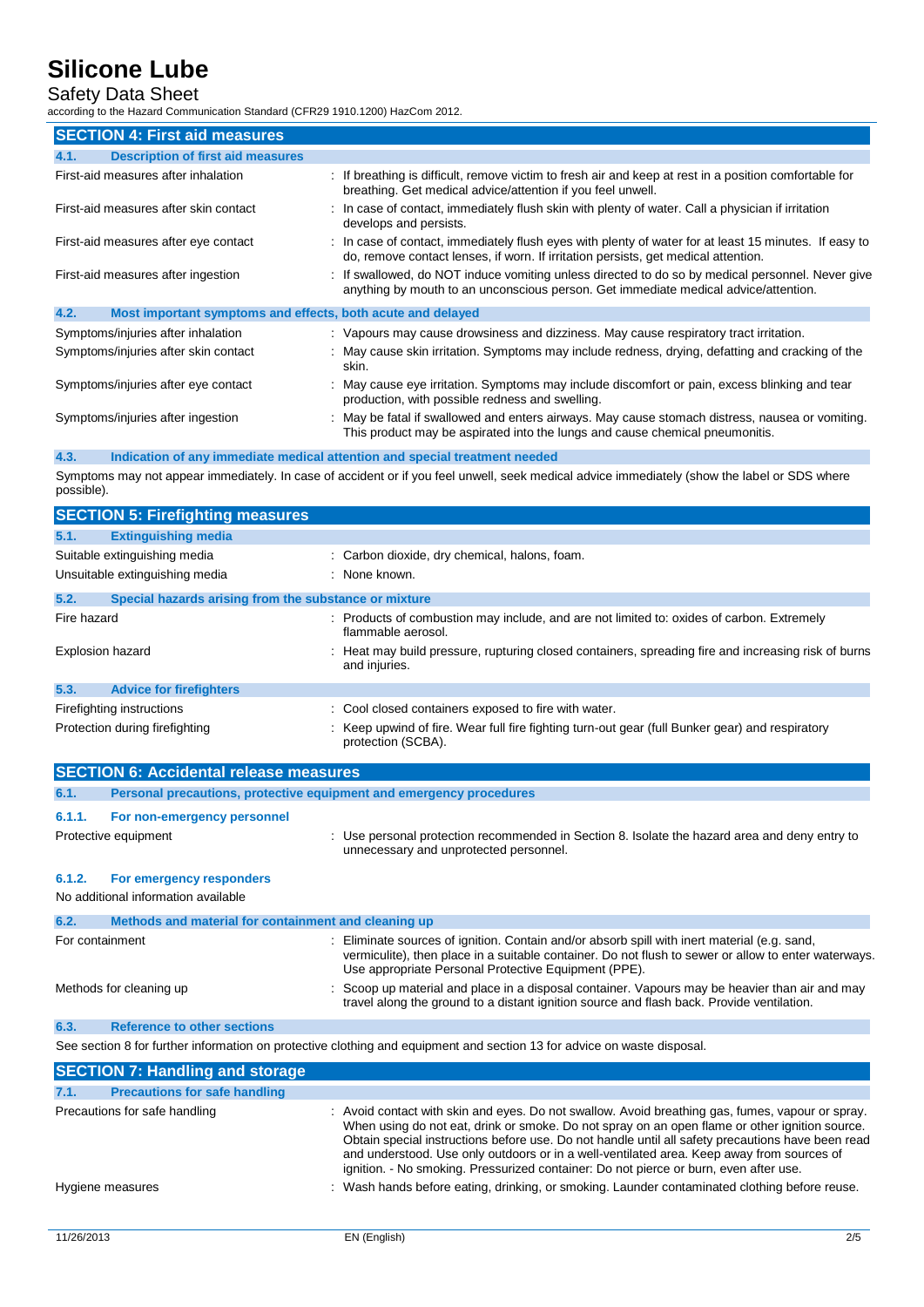## Safety Data Sheet

according to the Hazard Communication Standard (CFR29 1910.1200) HazCom 2012.

| <b>SECTION 4: First aid measures</b>                                |                                                                                                                                                                                             |
|---------------------------------------------------------------------|---------------------------------------------------------------------------------------------------------------------------------------------------------------------------------------------|
| <b>Description of first aid measures</b><br>4.1.                    |                                                                                                                                                                                             |
| First-aid measures after inhalation                                 | : If breathing is difficult, remove victim to fresh air and keep at rest in a position comfortable for<br>breathing. Get medical advice/attention if you feel unwell.                       |
| First-aid measures after skin contact                               | : In case of contact, immediately flush skin with plenty of water. Call a physician if irritation<br>develops and persists.                                                                 |
| First-aid measures after eye contact                                | : In case of contact, immediately flush eyes with plenty of water for at least 15 minutes. If easy to<br>do, remove contact lenses, if worn. If irritation persists, get medical attention. |
| First-aid measures after ingestion                                  | : If swallowed, do NOT induce vomiting unless directed to do so by medical personnel. Never give<br>anything by mouth to an unconscious person. Get immediate medical advice/attention.     |
| 4.2.<br>Most important symptoms and effects, both acute and delayed |                                                                                                                                                                                             |
| Symptoms/injuries after inhalation                                  | : Vapours may cause drowsiness and dizziness. May cause respiratory tract irritation.                                                                                                       |
| Symptoms/injuries after skin contact                                | : May cause skin irritation. Symptoms may include redness, drying, defatting and cracking of the<br>skin.                                                                                   |
| Symptoms/injuries after eye contact                                 | : May cause eye irritation. Symptoms may include discomfort or pain, excess blinking and tear<br>production, with possible redness and swelling.                                            |
| Symptoms/injuries after ingestion                                   | : May be fatal if swallowed and enters airways. May cause stomach distress, nausea or vomiting.<br>This product may be aspirated into the lungs and cause chemical pneumonitis.             |

#### **4.3. Indication of any immediate medical attention and special treatment needed**

Symptoms may not appear immediately. In case of accident or if you feel unwell, seek medical advice immediately (show the label or SDS where possible).

|             | <b>SECTION 5: Firefighting measures</b>               |                                                                                                                       |
|-------------|-------------------------------------------------------|-----------------------------------------------------------------------------------------------------------------------|
| 5.1.        | <b>Extinguishing media</b>                            |                                                                                                                       |
|             | Suitable extinguishing media                          | : Carbon dioxide, dry chemical, halons, foam.                                                                         |
|             | Unsuitable extinguishing media                        | : None known.                                                                                                         |
| 5.2.        | Special hazards arising from the substance or mixture |                                                                                                                       |
| Fire hazard |                                                       | : Products of combustion may include, and are not limited to: oxides of carbon. Extremely<br>flammable aerosol.       |
|             | Explosion hazard                                      | : Heat may build pressure, rupturing closed containers, spreading fire and increasing risk of burns<br>and injuries.  |
| 5.3.        | <b>Advice for firefighters</b>                        |                                                                                                                       |
|             | Firefighting instructions                             | : Cool closed containers exposed to fire with water.                                                                  |
|             | Protection during firefighting                        | : Keep upwind of fire. Wear full fire fighting turn-out gear (full Bunker gear) and respiratory<br>protection (SCBA). |

|                 | <b>SECTION 6: Accidental release measures</b>                       |                                                                                                                                                                                                                                                              |
|-----------------|---------------------------------------------------------------------|--------------------------------------------------------------------------------------------------------------------------------------------------------------------------------------------------------------------------------------------------------------|
| 6.1.            | Personal precautions, protective equipment and emergency procedures |                                                                                                                                                                                                                                                              |
| 6.1.1.          | For non-emergency personnel                                         |                                                                                                                                                                                                                                                              |
|                 | Protective equipment                                                | : Use personal protection recommended in Section 8. Isolate the hazard area and deny entry to<br>unnecessary and unprotected personnel.                                                                                                                      |
| 6.1.2.          | For emergency responders                                            |                                                                                                                                                                                                                                                              |
|                 | No additional information available                                 |                                                                                                                                                                                                                                                              |
| 6.2.            | Methods and material for containment and cleaning up                |                                                                                                                                                                                                                                                              |
| For containment |                                                                     | : Eliminate sources of ignition. Contain and/or absorb spill with inert material (e.g. sand,<br>vermiculite), then place in a suitable container. Do not flush to sewer or allow to enter waterways.<br>Use appropriate Personal Protective Equipment (PPE). |
|                 | Methods for cleaning up                                             | : Scoop up material and place in a disposal container. Vapours may be heavier than air and may<br>travel along the ground to a distant ignition source and flash back. Provide ventilation.                                                                  |
| 6.3.            | <b>Reference to other sections</b>                                  |                                                                                                                                                                                                                                                              |

See section 8 for further information on protective clothing and equipment and section 13 for advice on waste disposal.

|                  | <b>SECTION 7: Handling and storage</b> |                                                                                                                                                                                                                                                                                                                                                                                                                                                                                               |
|------------------|----------------------------------------|-----------------------------------------------------------------------------------------------------------------------------------------------------------------------------------------------------------------------------------------------------------------------------------------------------------------------------------------------------------------------------------------------------------------------------------------------------------------------------------------------|
| 7.1.             | <b>Precautions for safe handling</b>   |                                                                                                                                                                                                                                                                                                                                                                                                                                                                                               |
|                  | Precautions for safe handling          | : Avoid contact with skin and eyes. Do not swallow. Avoid breathing gas, fumes, vapour or spray.<br>When using do not eat, drink or smoke. Do not spray on an open flame or other ignition source.<br>Obtain special instructions before use. Do not handle until all safety precautions have been read<br>and understood. Use only outdoors or in a well-ventilated area. Keep away from sources of<br>ignition. - No smoking. Pressurized container: Do not pierce or burn, even after use. |
| Hygiene measures |                                        | : Wash hands before eating, drinking, or smoking. Launder contaminated clothing before reuse.                                                                                                                                                                                                                                                                                                                                                                                                 |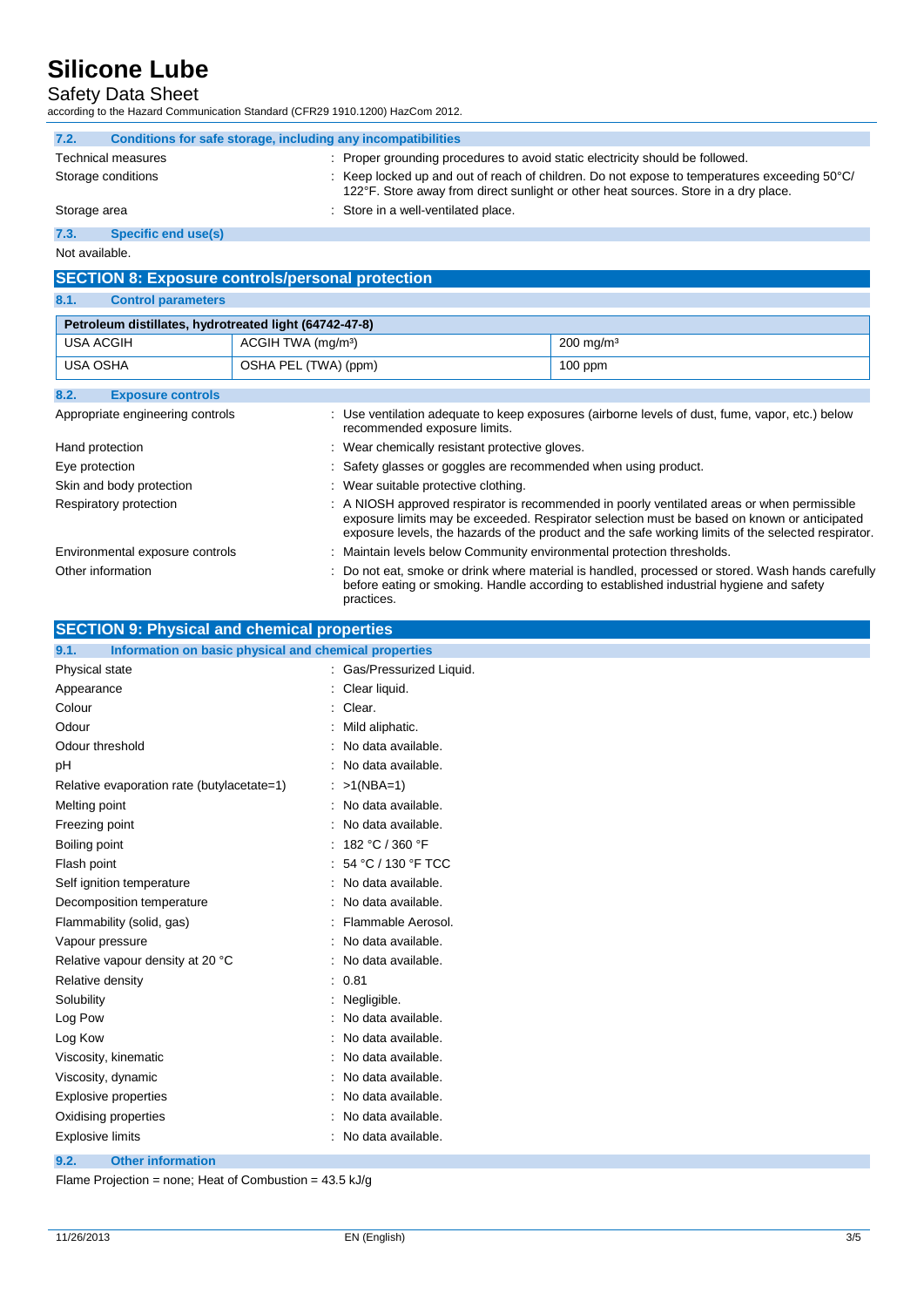### Safety Data Sheet

according to the Hazard Communication Standard (CFR29 1910.1200) HazCom 2012.

| 7.2.         | Conditions for safe storage, including any incompatibilities |                                                                                                                                                                                                          |
|--------------|--------------------------------------------------------------|----------------------------------------------------------------------------------------------------------------------------------------------------------------------------------------------------------|
|              | Technical measures                                           | : Proper grounding procedures to avoid static electricity should be followed.                                                                                                                            |
|              | Storage conditions                                           | $\therefore$ Keep locked up and out of reach of children. Do not expose to temperatures exceeding 50 $\degree$ C/<br>122°F. Store away from direct sunlight or other heat sources. Store in a dry place. |
| Storage area |                                                              | : Store in a well-ventilated place.                                                                                                                                                                      |
|              | $Consider \sim$                                              |                                                                                                                                                                                                          |

#### **7.3. Specific end use(s)**

Not available.

### **SECTION 8: Exposure controls/personal protection**

### **8.1. Control parameters**

| Petroleum distillates, hydrotreated light (64742-47-8) |                                |                                                                                                                                                                                                                                                                                                   |                                                                                                 |  |  |
|--------------------------------------------------------|--------------------------------|---------------------------------------------------------------------------------------------------------------------------------------------------------------------------------------------------------------------------------------------------------------------------------------------------|-------------------------------------------------------------------------------------------------|--|--|
| USA ACGIH                                              | ACGIH TWA (mg/m <sup>3</sup> ) |                                                                                                                                                                                                                                                                                                   | $200$ mg/m <sup>3</sup>                                                                         |  |  |
| USA OSHA                                               | OSHA PEL (TWA) (ppm)           |                                                                                                                                                                                                                                                                                                   | $100$ ppm                                                                                       |  |  |
| 8.2.<br><b>Exposure controls</b>                       |                                |                                                                                                                                                                                                                                                                                                   |                                                                                                 |  |  |
| Appropriate engineering controls                       |                                | recommended exposure limits.                                                                                                                                                                                                                                                                      | : Use ventilation adequate to keep exposures (airborne levels of dust, fume, vapor, etc.) below |  |  |
| Hand protection                                        |                                | : Wear chemically resistant protective gloves.                                                                                                                                                                                                                                                    |                                                                                                 |  |  |
| Eye protection                                         |                                | : Safety glasses or goggles are recommended when using product.                                                                                                                                                                                                                                   |                                                                                                 |  |  |
| Skin and body protection                               |                                | : Wear suitable protective clothing.                                                                                                                                                                                                                                                              |                                                                                                 |  |  |
| Respiratory protection                                 |                                | : A NIOSH approved respirator is recommended in poorly ventilated areas or when permissible<br>exposure limits may be exceeded. Respirator selection must be based on known or anticipated<br>exposure levels, the hazards of the product and the safe working limits of the selected respirator. |                                                                                                 |  |  |
| Environmental exposure controls                        |                                | : Maintain levels below Community environmental protection thresholds.                                                                                                                                                                                                                            |                                                                                                 |  |  |
| Other information                                      |                                | : Do not eat, smoke or drink where material is handled, processed or stored. Wash hands carefully<br>before eating or smoking. Handle according to established industrial hygiene and safety<br>practices.                                                                                        |                                                                                                 |  |  |

### **SECTION 9: Physical and chemical properties**

| Information on basic physical and chemical properties<br>9.1. |                           |
|---------------------------------------------------------------|---------------------------|
| Physical state                                                | : Gas/Pressurized Liquid. |
| Appearance                                                    | Clear liquid.             |
| Colour                                                        | : Clear.                  |
| Odour                                                         | Mild aliphatic.           |
| Odour threshold                                               | No data available.        |
| рH                                                            | No data available.        |
| Relative evaporation rate (butylacetate=1)                    | $: >1(NBA=1)$             |
| Melting point                                                 | : No data available.      |
| Freezing point                                                | No data available.        |
| Boiling point                                                 | : $182 °C / 360 °F$       |
| Flash point                                                   | 54 °C / 130 °F TCC        |
| Self ignition temperature                                     | No data available.        |
| Decomposition temperature                                     | No data available.        |
| Flammability (solid, gas)                                     | Flammable Aerosol.        |
| Vapour pressure                                               | No data available.        |
| Relative vapour density at 20 °C                              | No data available.        |
| Relative density                                              | : 0.81                    |
| Solubility                                                    | Negligible.               |
| Log Pow                                                       | No data available.        |
| Log Kow                                                       | No data available.        |
| Viscosity, kinematic                                          | No data available.        |
| Viscosity, dynamic                                            | No data available.        |
| <b>Explosive properties</b>                                   | No data available.        |
| Oxidising properties                                          | No data available.        |
| <b>Explosive limits</b>                                       | : No data available.      |
| 9.2.<br><b>Other information</b>                              |                           |

Flame Projection = none; Heat of Combustion = 43.5 kJ/g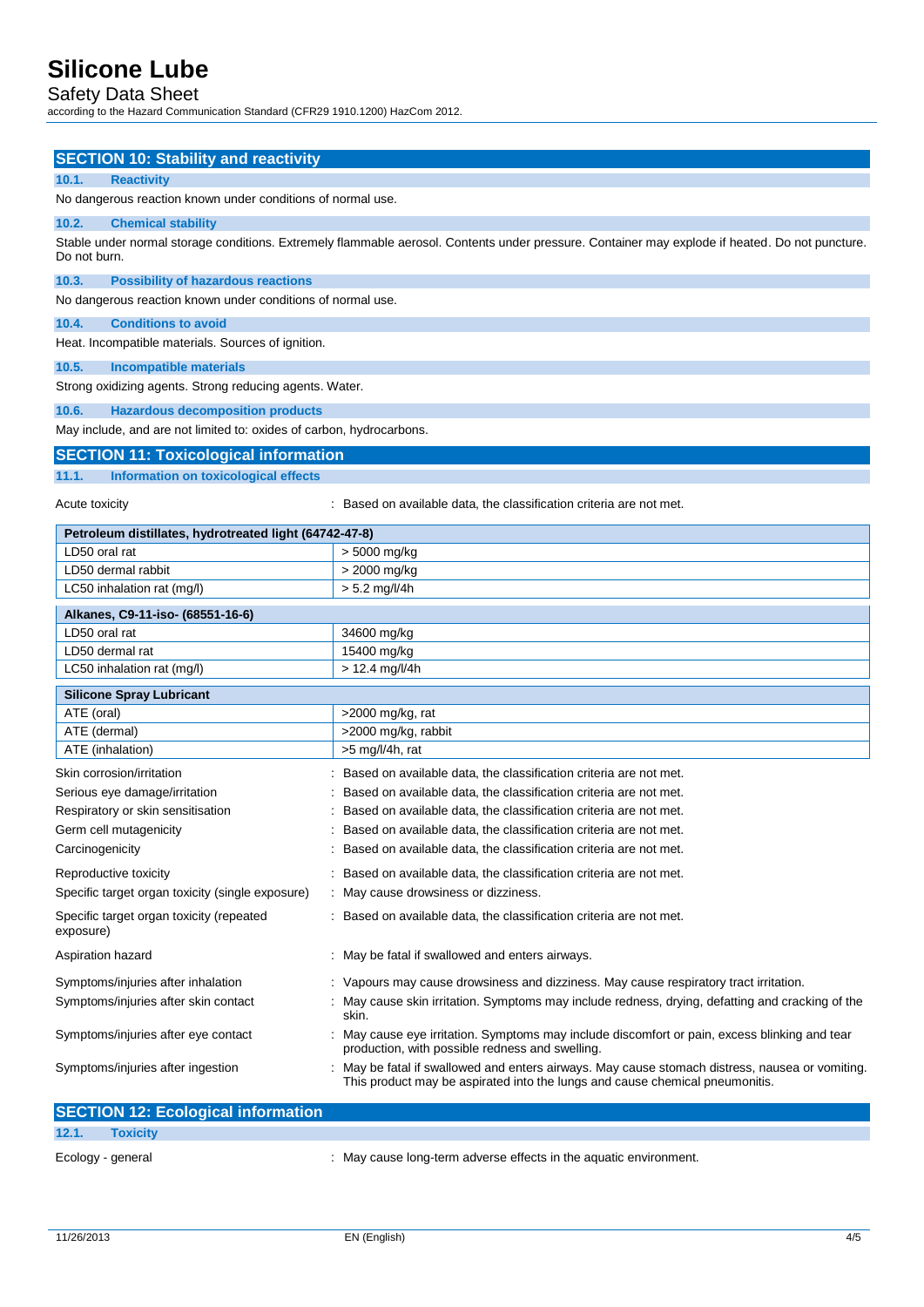### Safety Data Sheet

according to the Hazard Communication Standard (CFR29 1910.1200) HazCom 2012.

| <b>SECTION 10: Stability and reactivity</b>                                |                                                                                                                                                                               |  |  |  |
|----------------------------------------------------------------------------|-------------------------------------------------------------------------------------------------------------------------------------------------------------------------------|--|--|--|
| 10.1.<br><b>Reactivity</b>                                                 |                                                                                                                                                                               |  |  |  |
| No dangerous reaction known under conditions of normal use.                |                                                                                                                                                                               |  |  |  |
| 10.2.<br><b>Chemical stability</b>                                         |                                                                                                                                                                               |  |  |  |
|                                                                            | Stable under normal storage conditions. Extremely flammable aerosol. Contents under pressure. Container may explode if heated. Do not puncture.                               |  |  |  |
| Do not burn.                                                               |                                                                                                                                                                               |  |  |  |
| 10.3.<br><b>Possibility of hazardous reactions</b>                         |                                                                                                                                                                               |  |  |  |
| No dangerous reaction known under conditions of normal use.                |                                                                                                                                                                               |  |  |  |
| 10.4.<br><b>Conditions to avoid</b>                                        |                                                                                                                                                                               |  |  |  |
| Heat. Incompatible materials. Sources of ignition.                         |                                                                                                                                                                               |  |  |  |
| 10.5.<br><b>Incompatible materials</b>                                     |                                                                                                                                                                               |  |  |  |
| Strong oxidizing agents. Strong reducing agents. Water.                    |                                                                                                                                                                               |  |  |  |
| 10.6.<br><b>Hazardous decomposition products</b>                           |                                                                                                                                                                               |  |  |  |
| May include, and are not limited to: oxides of carbon, hydrocarbons.       |                                                                                                                                                                               |  |  |  |
| <b>SECTION 11: Toxicological information</b>                               |                                                                                                                                                                               |  |  |  |
| 11.1.<br>Information on toxicological effects                              |                                                                                                                                                                               |  |  |  |
|                                                                            |                                                                                                                                                                               |  |  |  |
| Acute toxicity                                                             | : Based on available data, the classification criteria are not met.                                                                                                           |  |  |  |
| Petroleum distillates, hydrotreated light (64742-47-8)                     |                                                                                                                                                                               |  |  |  |
| LD50 oral rat                                                              | > 5000 mg/kg                                                                                                                                                                  |  |  |  |
| LD50 dermal rabbit                                                         | > 2000 mg/kg                                                                                                                                                                  |  |  |  |
| LC50 inhalation rat (mg/l)                                                 | $> 5.2$ mg/l/4h                                                                                                                                                               |  |  |  |
| Alkanes, C9-11-iso- (68551-16-6)                                           |                                                                                                                                                                               |  |  |  |
| LD50 oral rat                                                              | 34600 mg/kg                                                                                                                                                                   |  |  |  |
| LD50 dermal rat                                                            | 15400 mg/kg                                                                                                                                                                   |  |  |  |
| LC50 inhalation rat (mg/l)                                                 | $> 12.4$ mg/l/4h                                                                                                                                                              |  |  |  |
| <b>Silicone Spray Lubricant</b>                                            |                                                                                                                                                                               |  |  |  |
| ATE (oral)                                                                 | >2000 mg/kg, rat                                                                                                                                                              |  |  |  |
| ATE (dermal)                                                               | >2000 mg/kg, rabbit                                                                                                                                                           |  |  |  |
| ATE (inhalation)                                                           | >5 mg/l/4h, rat                                                                                                                                                               |  |  |  |
| Skin corrosion/irritation                                                  | Based on available data, the classification criteria are not met.                                                                                                             |  |  |  |
| Serious eye damage/irritation                                              | Based on available data, the classification criteria are not met.                                                                                                             |  |  |  |
| Respiratory or skin sensitisation                                          | Based on available data, the classification criteria are not met.                                                                                                             |  |  |  |
| Germ cell mutagenicity                                                     | Based on available data, the classification criteria are not met.                                                                                                             |  |  |  |
| Carcinogenicity                                                            | : Based on available data, the classification criteria are not met.                                                                                                           |  |  |  |
| Reproductive toxicity                                                      | Based on available data, the classification criteria are not met.                                                                                                             |  |  |  |
| Specific target organ toxicity (single exposure)                           | May cause drowsiness or dizziness.                                                                                                                                            |  |  |  |
| Specific target organ toxicity (repeated<br>exposure)                      | : Based on available data, the classification criteria are not met.                                                                                                           |  |  |  |
| Aspiration hazard                                                          | : May be fatal if swallowed and enters airways.                                                                                                                               |  |  |  |
|                                                                            | : Vapours may cause drowsiness and dizziness. May cause respiratory tract irritation.                                                                                         |  |  |  |
| Symptoms/injuries after inhalation<br>Symptoms/injuries after skin contact | May cause skin irritation. Symptoms may include redness, drying, defatting and cracking of the                                                                                |  |  |  |
|                                                                            | skin.                                                                                                                                                                         |  |  |  |
| Symptoms/injuries after eye contact                                        | May cause eye irritation. Symptoms may include discomfort or pain, excess blinking and tear<br>production, with possible redness and swelling.                                |  |  |  |
| Symptoms/injuries after ingestion                                          | May be fatal if swallowed and enters airways. May cause stomach distress, nausea or vomiting.<br>This product may be aspirated into the lungs and cause chemical pneumonitis. |  |  |  |
| <b>SECTION 12: Ecological information</b>                                  |                                                                                                                                                                               |  |  |  |
| 12.1.<br><b>Toxicity</b>                                                   |                                                                                                                                                                               |  |  |  |

Ecology - general **Ecology** - general in the aquatic environment.